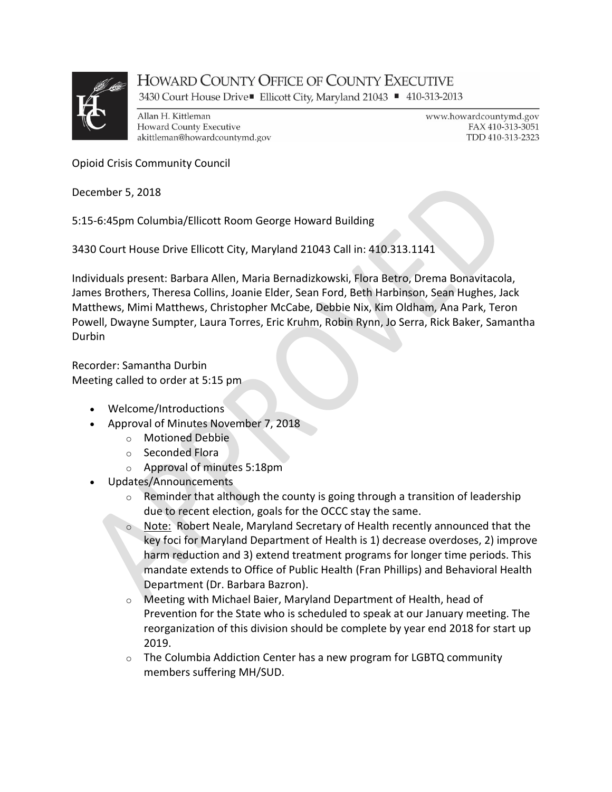

## **HOWARD COUNTY OFFICE OF COUNTY EXECUTIVE**

3430 Court House Drive■ Ellicott City, Maryland 21043 ■ 410-313-2013

Allan H. Kittleman **Howard County Executive** akittleman@howardcountymd.gov www.howardcountymd.gov FAX 410-313-3051 TDD 410-313-2323

Opioid Crisis Community Council

December 5, 2018

5:15-6:45pm Columbia/Ellicott Room George Howard Building

3430 Court House Drive Ellicott City, Maryland 21043 Call in: 410.313.1141

Individuals present: Barbara Allen, Maria Bernadizkowski, Flora Betro, Drema Bonavitacola, James Brothers, Theresa Collins, Joanie Elder, Sean Ford, Beth Harbinson, Sean Hughes, Jack Matthews, Mimi Matthews, Christopher McCabe, Debbie Nix, Kim Oldham, Ana Park, Teron Powell, Dwayne Sumpter, Laura Torres, Eric Kruhm, Robin Rynn, Jo Serra, Rick Baker, Samantha Durbin

Recorder: Samantha Durbin Meeting called to order at 5:15 pm

- Welcome/Introductions
- Approval of Minutes November 7, 2018
	- o Motioned Debbie
	- o Seconded Flora
	- o Approval of minutes 5:18pm
- Updates/Announcements
	- $\circ$  Reminder that although the county is going through a transition of leadership due to recent election, goals for the OCCC stay the same.
	- o Note: Robert Neale, Maryland Secretary of Health recently announced that the key foci for Maryland Department of Health is 1) decrease overdoses, 2) improve harm reduction and 3) extend treatment programs for longer time periods. This mandate extends to Office of Public Health (Fran Phillips) and Behavioral Health Department (Dr. Barbara Bazron).
	- o Meeting with Michael Baier, Maryland Department of Health, head of Prevention for the State who is scheduled to speak at our January meeting. The reorganization of this division should be complete by year end 2018 for start up 2019.
	- $\circ$  The Columbia Addiction Center has a new program for LGBTQ community members suffering MH/SUD.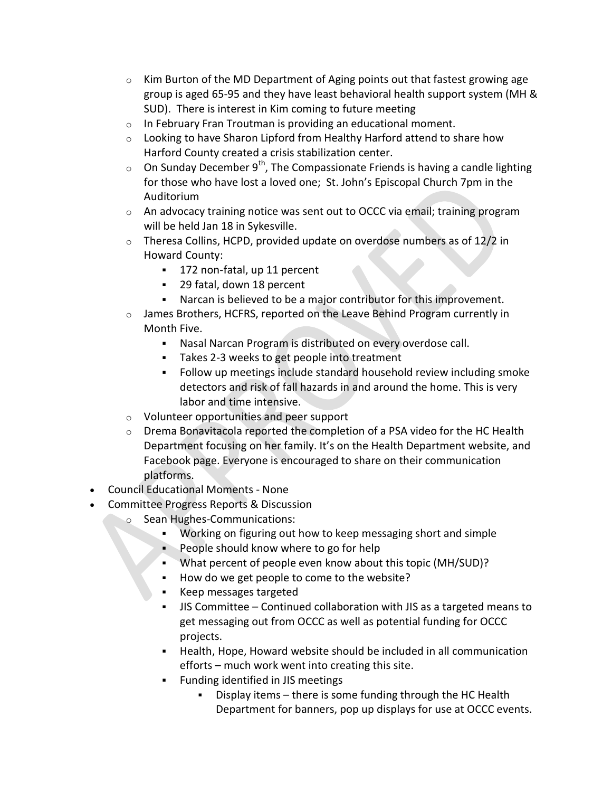- $\circ$  Kim Burton of the MD Department of Aging points out that fastest growing age group is aged 65-95 and they have least behavioral health support system (MH & SUD). There is interest in Kim coming to future meeting
- o In February Fran Troutman is providing an educational moment.
- $\circ$  Looking to have Sharon Lipford from Healthy Harford attend to share how Harford County created a crisis stabilization center.
- $\circ$  On Sunday December 9<sup>th</sup>, The Compassionate Friends is having a candle lighting for those who have lost a loved one; St. John's Episcopal Church 7pm in the Auditorium
- $\circ$  An advocacy training notice was sent out to OCCC via email; training program will be held Jan 18 in Sykesville.
- $\circ$  Theresa Collins, HCPD, provided update on overdose numbers as of 12/2 in Howard County:
	- <sup>1</sup> 172 non-fatal, up 11 percent
	- 29 fatal, down 18 percent
	- Narcan is believed to be a major contributor for this improvement.
- $\circ$  James Brothers, HCFRS, reported on the Leave Behind Program currently in Month Five.
	- Nasal Narcan Program is distributed on every overdose call.
	- Takes 2-3 weeks to get people into treatment
	- Follow up meetings include standard household review including smoke detectors and risk of fall hazards in and around the home. This is very labor and time intensive.
- o Volunteer opportunities and peer support
- o Drema Bonavitacola reported the completion of a PSA video for the HC Health Department focusing on her family. It's on the Health Department website, and Facebook page. Everyone is encouraged to share on their communication platforms.
- Council Educational Moments None
- Committee Progress Reports & Discussion
	- o Sean Hughes-Communications:
		- Working on figuring out how to keep messaging short and simple
		- **People should know where to go for help**
		- What percent of people even know about this topic (MH/SUD)?
		- How do we get people to come to the website?
		- Keep messages targeted
		- JIS Committee Continued collaboration with JIS as a targeted means to get messaging out from OCCC as well as potential funding for OCCC projects.
		- Health, Hope, Howard website should be included in all communication efforts – much work went into creating this site.
		- **Funding identified in JIS meetings** 
			- Display items there is some funding through the HC Health Department for banners, pop up displays for use at OCCC events.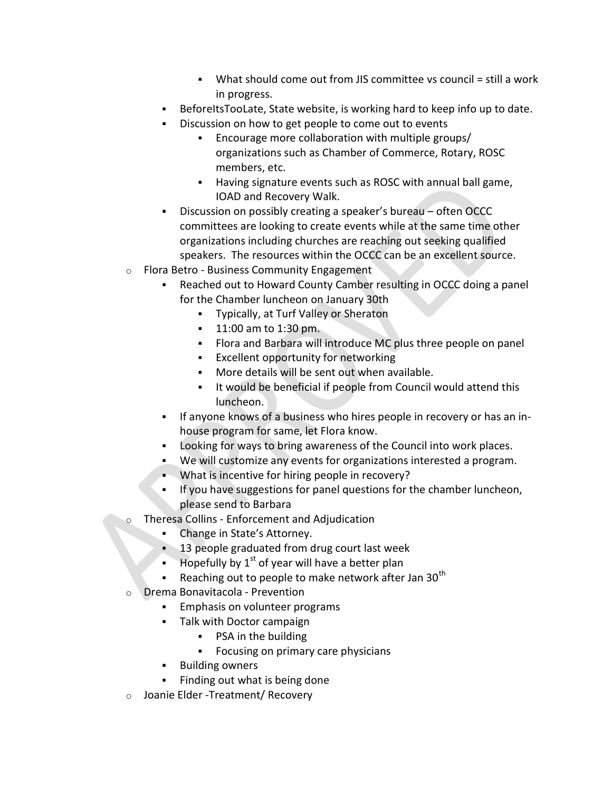- What should come out from JIS committee vs council = still a work in progress.
- BeforeItsTooLate, State website, is working hard to keep info up to date.
- Discussion on how to get people to come out to events
	- Encourage more collaboration with multiple groups/ organizations such as Chamber of Commerce, Rotary, ROSC members, etc.
	- Having signature events such as ROSC with annual ball game, IOAD and Recovery Walk.
- Discussion on possibly creating a speaker's bureau often OCCC committees are looking to create events while at the same time other organizations including churches are reaching out seeking qualified speakers. The resources within the OCCC can be an excellent source.
- o Flora Betro Business Community Engagement
	- Reached out to Howard County Camber resulting in OCCC doing a panel for the Chamber luncheon on January 30th
		- Typically, at Turf Valley or Sheraton
		- **11:00 am to 1:30 pm.**
		- Flora and Barbara will introduce MC plus three people on panel
		- **Excellent opportunity for networking**
		- More details will be sent out when available.
		- It would be beneficial if people from Council would attend this luncheon.
	- If anyone knows of a business who hires people in recovery or has an inhouse program for same, let Flora know.
	- Looking for ways to bring awareness of the Council into work places.
	- We will customize any events for organizations interested a program.
	- . What is incentive for hiring people in recovery?
	- If you have suggestions for panel questions for the chamber luncheon, please send to Barbara
- o Theresa Collins Enforcement and Adjudication
	- Change in State's Attorney.
	- **13 people graduated from drug court last week**
	- Hopefully by  $1<sup>st</sup>$  of year will have a better plan
	- Reaching out to people to make network after Jan  $30<sup>th</sup>$
- o Drema Bonavitacola Prevention
	- Emphasis on volunteer programs
	- Talk with Doctor campaign
		- PSA in the building
		- **Focusing on primary care physicians**
	- **Building owners**
	- Finding out what is being done
- o Joanie Elder -Treatment/ Recovery